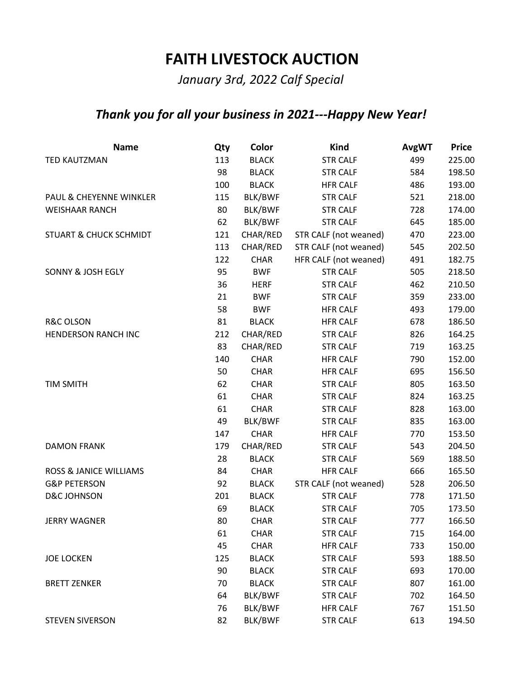## **FAITH LIVESTOCK AUCTION**

*January 3rd, 2022 Calf Special*

## *Thank you for all your business in 2021---Happy New Year!*

| <b>Name</b>                       | Qty | Color          | Kind                  | <b>AvgWT</b> | <b>Price</b> |
|-----------------------------------|-----|----------------|-----------------------|--------------|--------------|
| <b>TED KAUTZMAN</b>               | 113 | <b>BLACK</b>   | <b>STR CALF</b>       | 499          | 225.00       |
|                                   | 98  | <b>BLACK</b>   | <b>STR CALF</b>       | 584          | 198.50       |
|                                   | 100 | <b>BLACK</b>   | <b>HFR CALF</b>       | 486          | 193.00       |
| PAUL & CHEYENNE WINKLER           | 115 | BLK/BWF        | <b>STR CALF</b>       | 521          | 218.00       |
| <b>WEISHAAR RANCH</b>             | 80  | BLK/BWF        | <b>STR CALF</b>       | 728          | 174.00       |
|                                   | 62  | BLK/BWF        | <b>STR CALF</b>       | 645          | 185.00       |
| <b>STUART &amp; CHUCK SCHMIDT</b> | 121 | CHAR/RED       | STR CALF (not weaned) | 470          | 223.00       |
|                                   | 113 | CHAR/RED       | STR CALF (not weaned) | 545          | 202.50       |
|                                   | 122 | <b>CHAR</b>    | HFR CALF (not weaned) | 491          | 182.75       |
| SONNY & JOSH EGLY                 | 95  | <b>BWF</b>     | <b>STR CALF</b>       | 505          | 218.50       |
|                                   | 36  | <b>HERF</b>    | <b>STR CALF</b>       | 462          | 210.50       |
|                                   | 21  | <b>BWF</b>     | <b>STR CALF</b>       | 359          | 233.00       |
|                                   | 58  | <b>BWF</b>     | <b>HFR CALF</b>       | 493          | 179.00       |
| <b>R&amp;C OLSON</b>              | 81  | <b>BLACK</b>   | <b>HFR CALF</b>       | 678          | 186.50       |
| <b>HENDERSON RANCH INC</b>        | 212 | CHAR/RED       | <b>STR CALF</b>       | 826          | 164.25       |
|                                   | 83  | CHAR/RED       | <b>STR CALF</b>       | 719          | 163.25       |
|                                   | 140 | <b>CHAR</b>    | <b>HFR CALF</b>       | 790          | 152.00       |
|                                   | 50  | <b>CHAR</b>    | <b>HFR CALF</b>       | 695          | 156.50       |
| <b>TIM SMITH</b>                  | 62  | <b>CHAR</b>    | <b>STR CALF</b>       | 805          | 163.50       |
|                                   | 61  | <b>CHAR</b>    | <b>STR CALF</b>       | 824          | 163.25       |
|                                   | 61  | <b>CHAR</b>    | <b>STR CALF</b>       | 828          | 163.00       |
|                                   | 49  | BLK/BWF        | <b>STR CALF</b>       | 835          | 163.00       |
|                                   | 147 | <b>CHAR</b>    | <b>HFR CALF</b>       | 770          | 153.50       |
| <b>DAMON FRANK</b>                | 179 | CHAR/RED       | <b>STR CALF</b>       | 543          | 204.50       |
|                                   | 28  | <b>BLACK</b>   | <b>STR CALF</b>       | 569          | 188.50       |
| ROSS & JANICE WILLIAMS            | 84  | <b>CHAR</b>    | <b>HFR CALF</b>       | 666          | 165.50       |
| <b>G&amp;P PETERSON</b>           | 92  | <b>BLACK</b>   | STR CALF (not weaned) | 528          | 206.50       |
| <b>D&amp;C JOHNSON</b>            | 201 | <b>BLACK</b>   | <b>STR CALF</b>       | 778          | 171.50       |
|                                   | 69  | <b>BLACK</b>   | <b>STR CALF</b>       | 705          | 173.50       |
| <b>JERRY WAGNER</b>               | 80  | <b>CHAR</b>    | <b>STR CALF</b>       | 777          | 166.50       |
|                                   | 61  | <b>CHAR</b>    | <b>STR CALF</b>       | 715          | 164.00       |
|                                   | 45  | <b>CHAR</b>    | <b>HFR CALF</b>       | 733          | 150.00       |
| <b>JOE LOCKEN</b>                 | 125 | <b>BLACK</b>   | <b>STR CALF</b>       | 593          | 188.50       |
|                                   | 90  | <b>BLACK</b>   | <b>STR CALF</b>       | 693          | 170.00       |
| <b>BRETT ZENKER</b>               | 70  | <b>BLACK</b>   | <b>STR CALF</b>       | 807          | 161.00       |
|                                   | 64  | BLK/BWF        | <b>STR CALF</b>       | 702          | 164.50       |
|                                   | 76  | BLK/BWF        | <b>HFR CALF</b>       | 767          | 151.50       |
| <b>STEVEN SIVERSON</b>            | 82  | <b>BLK/BWF</b> | <b>STR CALF</b>       | 613          | 194.50       |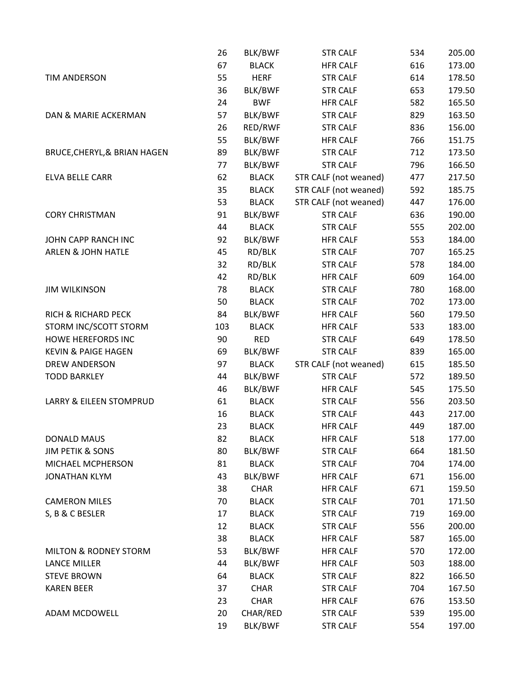|                                  | 26  | BLK/BWF      | <b>STR CALF</b>       | 534 | 205.00 |
|----------------------------------|-----|--------------|-----------------------|-----|--------|
|                                  | 67  | <b>BLACK</b> | <b>HFR CALF</b>       | 616 | 173.00 |
| <b>TIM ANDERSON</b>              | 55  | <b>HERF</b>  | <b>STR CALF</b>       | 614 | 178.50 |
|                                  | 36  | BLK/BWF      | <b>STR CALF</b>       | 653 | 179.50 |
|                                  | 24  | <b>BWF</b>   | <b>HFR CALF</b>       | 582 | 165.50 |
| DAN & MARIE ACKERMAN             | 57  | BLK/BWF      | <b>STR CALF</b>       | 829 | 163.50 |
|                                  | 26  | RED/RWF      | <b>STR CALF</b>       | 836 | 156.00 |
|                                  | 55  | BLK/BWF      | <b>HFR CALF</b>       | 766 | 151.75 |
| BRUCE, CHERYL, & BRIAN HAGEN     | 89  | BLK/BWF      | <b>STR CALF</b>       | 712 | 173.50 |
|                                  | 77  | BLK/BWF      | <b>STR CALF</b>       | 796 | 166.50 |
| ELVA BELLE CARR                  | 62  | <b>BLACK</b> | STR CALF (not weaned) | 477 | 217.50 |
|                                  | 35  | <b>BLACK</b> | STR CALF (not weaned) | 592 | 185.75 |
|                                  | 53  | <b>BLACK</b> | STR CALF (not weaned) | 447 | 176.00 |
| <b>CORY CHRISTMAN</b>            | 91  | BLK/BWF      | <b>STR CALF</b>       | 636 | 190.00 |
|                                  | 44  | <b>BLACK</b> | <b>STR CALF</b>       | 555 | 202.00 |
| JOHN CAPP RANCH INC              | 92  | BLK/BWF      | <b>HFR CALF</b>       | 553 | 184.00 |
| <b>ARLEN &amp; JOHN HATLE</b>    | 45  | RD/BLK       | <b>STR CALF</b>       | 707 | 165.25 |
|                                  | 32  | RD/BLK       | <b>STR CALF</b>       | 578 | 184.00 |
|                                  | 42  | RD/BLK       | <b>HFR CALF</b>       | 609 | 164.00 |
| <b>JIM WILKINSON</b>             | 78  | <b>BLACK</b> | <b>STR CALF</b>       | 780 | 168.00 |
|                                  | 50  | <b>BLACK</b> | <b>STR CALF</b>       | 702 | 173.00 |
| RICH & RICHARD PECK              | 84  | BLK/BWF      | <b>HFR CALF</b>       | 560 | 179.50 |
| STORM INC/SCOTT STORM            | 103 | <b>BLACK</b> | <b>HFR CALF</b>       | 533 | 183.00 |
| <b>HOWE HEREFORDS INC</b>        | 90  | <b>RED</b>   | <b>STR CALF</b>       | 649 | 178.50 |
| <b>KEVIN &amp; PAIGE HAGEN</b>   | 69  | BLK/BWF      | <b>STR CALF</b>       | 839 | 165.00 |
| <b>DREW ANDERSON</b>             | 97  | <b>BLACK</b> | STR CALF (not weaned) | 615 | 185.50 |
| <b>TODD BARKLEY</b>              | 44  | BLK/BWF      | <b>STR CALF</b>       | 572 | 189.50 |
|                                  | 46  | BLK/BWF      | <b>HFR CALF</b>       | 545 | 175.50 |
| LARRY & EILEEN STOMPRUD          | 61  | <b>BLACK</b> | <b>STR CALF</b>       | 556 | 203.50 |
|                                  | 16  | <b>BLACK</b> | <b>STR CALF</b>       | 443 | 217.00 |
|                                  | 23  | <b>BLACK</b> | <b>HFR CALF</b>       | 449 | 187.00 |
| <b>DONALD MAUS</b>               | 82  | <b>BLACK</b> | <b>HFR CALF</b>       | 518 | 177.00 |
| <b>JIM PETIK &amp; SONS</b>      | 80  | BLK/BWF      | <b>STR CALF</b>       | 664 | 181.50 |
| MICHAEL MCPHERSON                | 81  | <b>BLACK</b> | <b>STR CALF</b>       | 704 | 174.00 |
| <b>JONATHAN KLYM</b>             | 43  | BLK/BWF      | <b>HFR CALF</b>       | 671 | 156.00 |
|                                  | 38  | <b>CHAR</b>  | <b>HFR CALF</b>       | 671 | 159.50 |
| <b>CAMERON MILES</b>             | 70  | <b>BLACK</b> | <b>STR CALF</b>       | 701 | 171.50 |
| S, B & C BESLER                  | 17  | <b>BLACK</b> | <b>STR CALF</b>       | 719 | 169.00 |
|                                  | 12  | <b>BLACK</b> | <b>STR CALF</b>       | 556 | 200.00 |
|                                  | 38  | <b>BLACK</b> | <b>HFR CALF</b>       | 587 | 165.00 |
| <b>MILTON &amp; RODNEY STORM</b> | 53  | BLK/BWF      | <b>HFR CALF</b>       | 570 | 172.00 |
| <b>LANCE MILLER</b>              | 44  | BLK/BWF      | <b>HFR CALF</b>       | 503 | 188.00 |
| <b>STEVE BROWN</b>               | 64  | <b>BLACK</b> | <b>STR CALF</b>       | 822 | 166.50 |
| <b>KAREN BEER</b>                | 37  | <b>CHAR</b>  | <b>STR CALF</b>       | 704 | 167.50 |
|                                  | 23  | <b>CHAR</b>  | <b>HFR CALF</b>       | 676 | 153.50 |
| ADAM MCDOWELL                    | 20  | CHAR/RED     | <b>STR CALF</b>       | 539 | 195.00 |
|                                  | 19  | BLK/BWF      | <b>STR CALF</b>       | 554 | 197.00 |